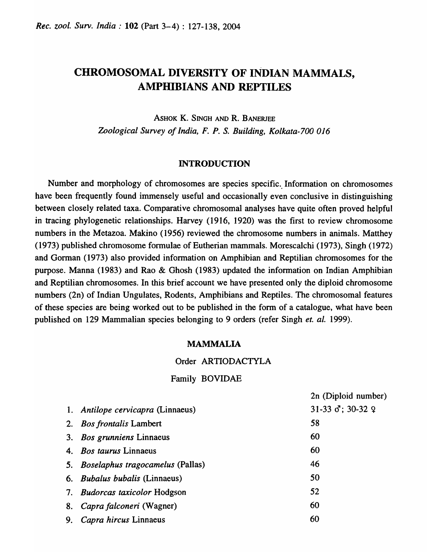# CHROMOSOMAL DIVERSITY OF INDIAN MAMMALS, AMPHIBIANS AND REPTILES

ASHOK K. SINGH AND R. BANERJEE *Zoological Survey of India, F. P.* S. *Building, Kolkata-700 016* 

### INTRODUCTION

Number and morphology of chromosomes are species specific. Information on chromosomes have been frequently found immensely useful and occasionally even conclusive in distinguishing between closely related taxa. Comparative chromosomal analyses have quite often proved helpful in tracing phylogenetic relationships. Harvey (1916, 1920) was the first to review chromosome numbers in the Metazoa. Makino (1956) reviewed the chromosome numbers in animals. Matthey (1973) published chromosome formulae of Eutherian mammals. Morescalchi (1973), Singh (1972) and Gorman (1973) also provided information on Amphibian and Reptilian chromosomes for the purpose. Manna (1983) and Rao & Ghosh (1983) updated the information on Indian Amphibian and Reptilian chromosomes. In this brief account we have presented only the diploid chromosome numbers (2n) of Indian Ungulates, Rodents, Amphibians and Reptiles. The chromosomal features of these species are being worked out to be published in the form of a catalogue, what have been published on 129 Mammalian species belonging to 9 orders (refer Singh *et. al.* 1999).

## MAMMALIA

## Order ARTIODACTYLA

### Family BOVIDAE

1. *Anti/ope cervicapra* (Linnaeus) 2. *Bos frontalis* Lambert 3. *Bos grunniens* Linnaeus 4. *Bos taurus* Linnaeus 5. *Boselaphus tragocamelus* (Pallas) 6. *Bubalus bubalis* (Linnaeus) 7. *Budorcas taxicolor* Hodgson 8. *Caprafalconeri* (Wagner) 9. *Capra hircus* Linnaeus 2n (Diploid number)  $31-33$   $\sigma$ ; 30-32  $\varphi$ 58 60 60 46 50 52 60 60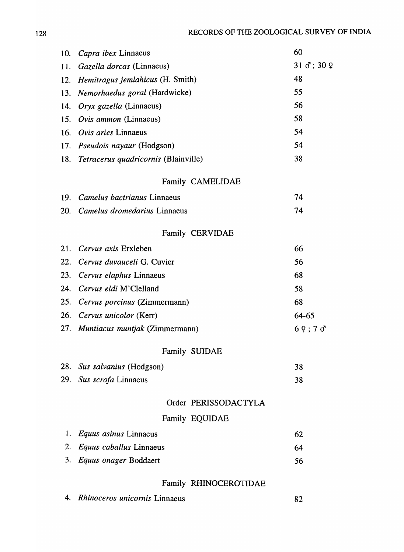| 10. | Capra ibex Linnaeus                         | 60                                           |
|-----|---------------------------------------------|----------------------------------------------|
| 11. | Gazella dorcas (Linnaeus)                   | $31 \text{ } \sigma$ ; $30 \text{ } \varphi$ |
| 12. | Hemitragus jemlahicus (H. Smith)            | 48                                           |
| 13. | Nemorhaedus goral (Hardwicke)               | 55                                           |
| 14. | Oryx gazella (Linnaeus)                     | 56                                           |
| 15. | Ovis ammon (Linnaeus)                       | 58                                           |
| 16. | Ovis aries Linnaeus                         | 54                                           |
| 17. | <i>Pseudois nayaur</i> (Hodgson)            | 54                                           |
| 18. | <i>Tetracerus quadricornis</i> (Blainville) | 38                                           |
|     | Family CAMELIDAE                            |                                              |
| 19. | Camelus bactrianus Linnaeus                 | 74                                           |
| 20. | Camelus dromedarius Linnaeus                | 74                                           |
|     | Family CERVIDAE                             |                                              |
| 21. | Cervus axis Erxleben                        | 66                                           |
| 22. | Cervus duvauceli G. Cuvier                  | 56                                           |
| 23. | Cervus elaphus Linnaeus                     | 68                                           |
| 24. | Cervus eldi M'Clelland                      | 58                                           |
| 25. | Cervus porcinus (Zimmermann)                | 68                                           |
|     | 26. Cervus unicolor (Kerr)                  | 64-65                                        |
|     | 27. Muntiacus muntjak (Zimmermann)          | 69;70                                        |
|     | Family SUIDAE                               |                                              |
|     | 28. Sus salvanius (Hodgson)                 | 38                                           |
| 29. | Sus scrofa Linnaeus                         | 38                                           |
|     | Order PERISSODACTYLA                        |                                              |
|     | Family EQUIDAE                              |                                              |
| 1.  | Equus asinus Linnaeus                       | 62                                           |
| 2.  | Equus caballus Linnaeus                     | 64                                           |
| 3.  | Equus onager Boddaert                       | 56                                           |
|     | Family RHINOCEROTIDAE                       |                                              |

|  | 4. Rhinoceros unicornis Linnaeus |  |
|--|----------------------------------|--|
|--|----------------------------------|--|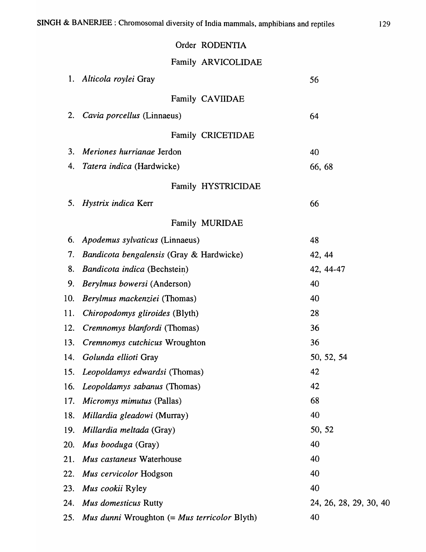# Order RODENTIA

# Family ARVICOLIDAE

| 1.  | Alticola roylei Gray                         | 56                     |
|-----|----------------------------------------------|------------------------|
|     | Family CAVIIDAE                              |                        |
| 2.  | Cavia porcellus (Linnaeus)                   | 64                     |
|     | Family CRICETIDAE                            |                        |
| 3.  | Meriones hurrianae Jerdon                    | 40                     |
| 4.  | Tatera indica (Hardwicke)                    | 66, 68                 |
|     | Family HYSTRICIDAE                           |                        |
| 5.  | Hystrix indica Kerr                          | 66                     |
|     | Family MURIDAE                               |                        |
| 6.  | Apodemus sylvaticus (Linnaeus)               | 48                     |
| 7.  | Bandicota bengalensis (Gray & Hardwicke)     | 42, 44                 |
| 8.  | Bandicota indica (Bechstein)                 | 42, 44-47              |
| 9.  | Berylmus bowersi (Anderson)                  | 40                     |
| 10. | Berylmus mackenziei (Thomas)                 | 40                     |
| 11. | Chiropodomys gliroides (Blyth)               | 28                     |
| 12. | Cremnomys blanfordi (Thomas)                 | 36                     |
| 13. | Cremnomys cutchicus Wroughton                | 36                     |
| 14. | Golunda ellioti Gray                         | 50, 52, 54             |
| 15. | Leopoldamys edwardsi (Thomas)                | 42                     |
| 16. | Leopoldamys sabanus (Thomas)                 | 42                     |
| 17. | <i>Micromys mimutus</i> (Pallas)             | 68                     |
| 18. | <i>Millardia gleadowi</i> (Murray)           | 40                     |
| 19. | Millardia meltada (Gray)                     | 50, 52                 |
| 20. | Mus booduga (Gray)                           | 40                     |
| 21. | Mus castaneus Waterhouse                     | 40                     |
| 22. | Mus cervicolor Hodgson                       | 40                     |
| 23. | Mus cookii Ryley                             | 40                     |
| 24. | Mus domesticus Rutty                         | 24, 26, 28, 29, 30, 40 |
| 25. | Mus dunni Wroughton (= Mus terricolor Blyth) | 40                     |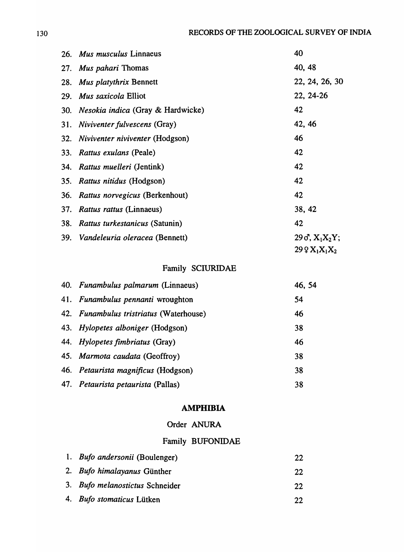| 26.        | Mus musculus Linnaeus                    | 40                         |
|------------|------------------------------------------|----------------------------|
| 27.        | Mus pahari Thomas                        | 40, 48                     |
| 28.        | <b>Mus platythrix Bennett</b>            | 22, 24, 26, 30             |
| 29.        | <i>Mus saxicola</i> Elliot               | 22, 24-26                  |
| 30.        | <i>Nesokia indica</i> (Gray & Hardwicke) | 42                         |
| 31.        | <i>Niviventer fulvescens</i> (Gray)      | 42, 46                     |
| 32.        | Niviventer niviventer (Hodgson)          | 46                         |
| <b>33.</b> | <i>Rattus exulans</i> (Peale)            | 42                         |
| 34.        | Rattus muelleri (Jentink)                | 42                         |
| 35.        | <i>Rattus nitidus</i> (Hodgson)          | 42                         |
| 36.        | Rattus norvegicus (Berkenhout)           | 42                         |
| 37.        | <i>Rattus rattus</i> (Linnaeus)          | 38, 42                     |
| 38.        | <i>Rattus turkestanicus (Satunin)</i>    | 42                         |
| 39.        | Vandeleuria oleracea (Bennett)           | $29\,\sigma$ , $X_1X_2Y$ ; |
|            |                                          | $29QX_1X_1X_2$             |

## Family SCIURIDAE

| 40. Funambulus palmarum (Linnaeus)      | 46, 54 |
|-----------------------------------------|--------|
| 41. Funambulus pennanti wroughton       | 54     |
| 42. Funambulus tristriatus (Waterhouse) | 46     |
| 43. Hylopetes alboniger (Hodgson)       | 38     |
| 44. Hylopetes fimbriatus (Gray)         | 46     |
| 45. Marmota caudata (Geoffroy)          | 38     |
| 46. Petaurista magnificus (Hodgson)     | 38     |
| 47. Petaurista petaurista (Pallas)      | 38     |

## **AMPHIBIA**

## Order ANURA

## Family BUFONIDAE

| 1. <i>Bufo andersonii</i> (Boulenger) | 22 |
|---------------------------------------|----|
| 2. Bufo himalayanus Günther           | 22 |
| 3. Bufo melanostictus Schneider       | 22 |
| 4. Bufo stomaticus Lütken             | 22 |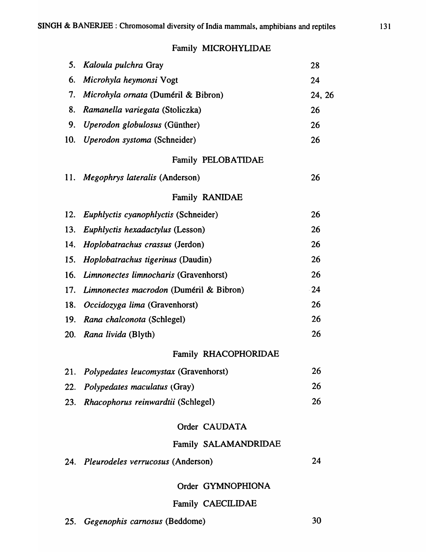## Family MICROHYLIDAE

| 5.  | Kaloula pulchra Gray                       | 28     |
|-----|--------------------------------------------|--------|
| 6.  | Microhyla heymonsi Vogt                    | 24     |
| 7.  | <i>Microhyla ornata</i> (Duméril & Bibron) | 24, 26 |
| 8.  | Ramanella variegata (Stoliczka)            | 26     |
| 9.  | Uperodon globulosus (Günther)              | 26     |
| 10. | Uperodon systoma (Schneider)               | 26     |
|     | Family PELOBATIDAE                         |        |
| 11. | Megophrys lateralis (Anderson)             | 26     |
|     | <b>Family RANIDAE</b>                      |        |
| 12. | Euphlyctis cyanophlyctis (Schneider)       | 26     |
| 13. | Euphlyctis hexadactylus (Lesson)           | 26     |
| 14. | Hoplobatrachus crassus (Jerdon)            | 26     |
| 15. | <i>Hoplobatrachus tigerinus</i> (Daudin)   | 26     |
| 16. | Limnonectes limnocharis (Gravenhorst)      | 26     |
| 17. | Limnonectes macrodon (Duméril & Bibron)    | $-24$  |
| 18. | Occidozyga lima (Gravenhorst)              | 26     |
| 19. | Rana chalconota (Schlegel)                 | 26     |
| 20. | Rana livida (Blyth)                        | 26     |
|     | Family RHACOPHORIDAE                       |        |
|     | 21. Polypedates leucomystax (Gravenhorst)  | 26     |
|     | 22. Polypedates maculatus (Gray)           | 26     |
|     | 23. Rhacophorus reinwardtii (Schlegel)     | 26     |
|     | Order CAUDATA                              |        |
|     | Family SALAMANDRIDAE                       |        |
|     | 24. Pleurodeles verrucosus (Anderson)      | 24     |
|     | Order GYMNOPHIONA                          |        |
|     |                                            |        |
|     | <b>Family CAECILIDAE</b>                   |        |

25. *Gegenophis camosus* (Beddome) 30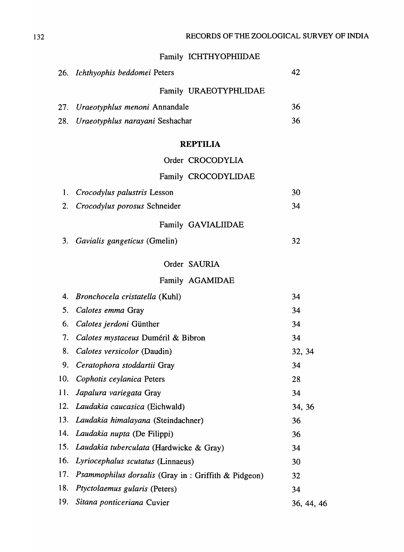# Family ICHTHYOPHIIDAE

|     | 26. Ichthyophis beddomei Peters                             | 42         |
|-----|-------------------------------------------------------------|------------|
|     | Family URAEOTYPHLIDAE                                       |            |
| 27. | Uraeotyphlus menoni Annandale                               | 36         |
| 28. | Uraeotyphlus narayani Seshachar                             | 36         |
|     |                                                             |            |
|     | <b>REPTILIA</b>                                             |            |
|     | Order CROCODYLIA                                            |            |
|     | Family CROCODYLIDAE                                         |            |
| 1.  | <i>Crocodylus palustris</i> Lesson                          | 30         |
| 2.  | Crocodylus porosus Schneider                                | 34         |
|     | Family GAVIALIIDAE                                          |            |
| 3.  | Gavialis gangeticus (Gmelin)                                | 32         |
|     |                                                             |            |
|     | Order SAURIA                                                |            |
|     | Family AGAMIDAE                                             |            |
| 4.  | <i>Bronchocela cristatella</i> (Kuhl)                       | 34         |
| 5.  | Calotes emma Gray                                           | 34         |
| 6.  | Calotes jerdoni Günther                                     | 34         |
| 7.  | Calotes mystaceus Duméril & Bibron                          | 34         |
| 8.  | Calotes versicolor (Daudin)                                 | 32, 34     |
| 9.  | Ceratophora stoddartii Gray                                 | 34         |
| 10. | Cophotis ceylanica Peters                                   | 28         |
| 11. | Japalura variegata Gray                                     | 34         |
| 12. | Laudakia caucasica (Eichwald)                               | 34, 36     |
| 13. | Laudakia himalayana (Steindachner)                          | 36         |
| 14. | Laudakia nupta (De Filippi)                                 | 36         |
| 15. | Laudakia tuberculata (Hardwicke & Gray)                     | 34         |
| 16. | Lyriocephalus scutatus (Linnaeus)                           | 30         |
| 17. | <i>Psammophilus dorsalis</i> (Gray in : Griffith & Pidgeon) | 32         |
| 18. | Ptyctolaemus gularis (Peters)                               | 34         |
| 19. | Sitana ponticeriana Cuvier                                  | 36, 44, 46 |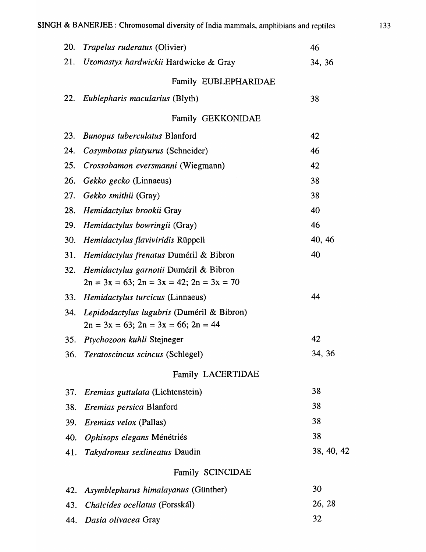| <b>20.</b> | <i>Trapelus ruderatus</i> (Olivier)                                                              | 46         |
|------------|--------------------------------------------------------------------------------------------------|------------|
| 21.        | Uromastyx hardwickii Hardwicke & Gray                                                            | 34, 36     |
|            | Family EUBLEPHARIDAE                                                                             |            |
|            | 22. Eublepharis macularius (Blyth)                                                               | 38         |
|            | Family GEKKONIDAE                                                                                |            |
| 23.        | <b>Bunopus tuberculatus Blanford</b>                                                             | 42         |
| 24.        | Cosymbotus platyurus (Schneider)                                                                 | 46         |
| 25.        | Crossobamon eversmanni (Wiegmann)                                                                | 42         |
| 26.        | Gekko gecko (Linnaeus)                                                                           | 38         |
| 27.        | Gekko smithii (Gray)                                                                             | 38         |
| 28.        | Hemidactylus brookii Gray                                                                        | 40         |
| 29.        | Hemidactylus bowringii (Gray)                                                                    | 46         |
| 30.        | Hemidactylus flaviviridis Rüppell                                                                | 40, 46     |
| 31.        | Hemidactylus frenatus Duméril & Bibron                                                           | 40         |
| 32.        | Hemidactylus garnotii Duméril & Bibron<br>$2n = 3x = 63$ ; $2n = 3x = 42$ ; $2n = 3x = 70$       |            |
| 33.        | <i>Hemidactylus turcicus</i> (Linnaeus)                                                          | 44         |
| 34.        | <i>Lepidodactylus lugubris</i> (Duméril & Bibron)<br>$2n = 3x = 63$ ; $2n = 3x = 66$ ; $2n = 44$ |            |
| 35.        | Ptychozoon kuhli Stejneger                                                                       | 42         |
| 36.        | Teratoscincus scincus (Schlegel)                                                                 | 34, 36     |
|            | Family LACERTIDAE                                                                                |            |
| 37.        | Eremias guttulata (Lichtenstein)                                                                 | 38         |
| 38.        | <i>Eremias persica Blanford</i>                                                                  | 38         |
| 39.        | <i>Eremias velox</i> (Pallas)                                                                    | 38         |
| 40.        | Ophisops elegans Ménétriés                                                                       | 38         |
| 41.        | Takydromus sexlineatus Daudin                                                                    | 38, 40, 42 |
|            | Family SCINCIDAE                                                                                 |            |
| 42.        | Asymblepharus himalayanus (Günther)                                                              | 30         |
| 43.        | <i>Chalcides ocellatus</i> (Forsskál)                                                            | 26, 28     |
| 44.        | Dasia olivacea Gray                                                                              | 32         |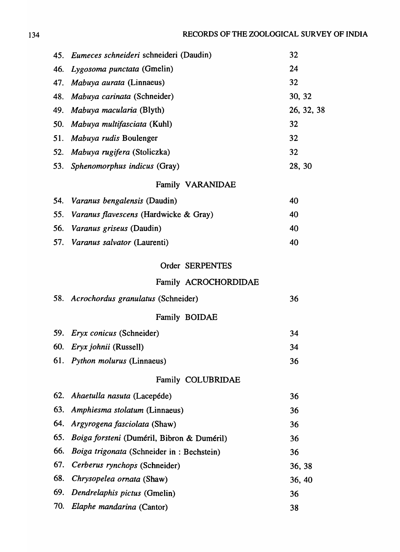|            | 45. Eumeces schneideri schneideri (Daudin)   | 32         |
|------------|----------------------------------------------|------------|
| 46.        | Lygosoma punctata (Gmelin)                   | 24         |
| 47.        | Mabuya aurata (Linnaeus)                     | 32         |
|            | 48. Mabuya carinata (Schneider)              | 30, 32     |
|            | 49. Mabuya macularia (Blyth)                 | 26, 32, 38 |
| 50.        | Mabuya multifasciata (Kuhl)                  | 32         |
| 51.        | Mabuya rudis Boulenger                       | 32         |
|            | 52. Mabuya rugifera (Stoliczka)              | 32         |
|            | 53. Sphenomorphus indicus (Gray)             | 28, 30     |
|            | Family VARANIDAE                             |            |
| 54.        | Varanus bengalensis (Daudin)                 | 40         |
| 55.        | <i>Varanus flavescens</i> (Hardwicke & Gray) | 40         |
| 56.        | <i>Varanus griseus</i> (Daudin)              | 40         |
|            | 57. Varanus salvator (Laurenti)              | 40         |
|            | Order SERPENTES                              |            |
|            |                                              |            |
|            | Family ACROCHORDIDAE                         |            |
|            | 58. Acrochordus granulatus (Schneider)       | 36         |
|            | Family BOIDAE                                |            |
| 59.        | Eryx conicus (Schneider)                     | 34         |
| 60.        | Eryx johnii (Russell)                        | 34         |
|            | 61. Python molurus (Linnaeus)                | 36         |
|            | Family COLUBRIDAE                            |            |
| <b>62.</b> | Ahaetulla nasuta (Lacepéde)                  | 36         |
| 63.        | Amphiesma stolatum (Linnaeus)                | 36         |
| 64.        | Argyrogena fasciolata (Shaw)                 | 36         |
| 65.        | Boiga forsteni (Duméril, Bibron & Duméril)   | 36         |
| 66.        | Boiga trigonata (Schneider in : Bechstein)   | 36         |
| 67.        | Cerberus rynchops (Schneider)                | 36, 38     |
| 68.        | Chrysopelea ornata (Shaw)                    | 36, 40     |
| 69.        | Dendrelaphis pictus (Gmelin)                 | 36         |
| 70.        | Elaphe mandarina (Cantor)                    | 38         |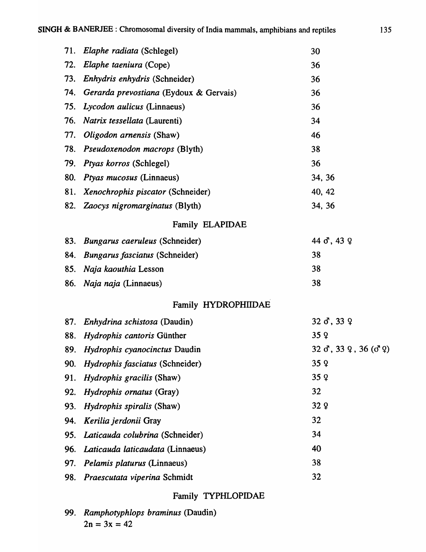| 71. | Elaphe radiata (Schlegel)              | 30                                                                                              |
|-----|----------------------------------------|-------------------------------------------------------------------------------------------------|
| 72. | Elaphe taeniura (Cope)                 | 36                                                                                              |
| 73. | Enhydris enhydris (Schneider)          | 36                                                                                              |
| 74. | Gerarda prevostiana (Eydoux & Gervais) | 36                                                                                              |
| 75. | Lycodon aulicus (Linnaeus)             | 36                                                                                              |
| 76. | <i>Natrix tessellata</i> (Laurenti)    | 34                                                                                              |
| 77. | Oligodon arnensis (Shaw)               | 46                                                                                              |
| 78. | Pseudoxenodon macrops (Blyth)          | 38                                                                                              |
| 79. | Ptyas korros (Schlegel)                | 36                                                                                              |
| 80. | <i>Ptyas mucosus</i> (Linnaeus)        | 34, 36                                                                                          |
| 81. | Xenochrophis piscator (Schneider)      | 40, 42                                                                                          |
|     | 82. Zaocys nigromarginatus (Blyth)     | 34, 36                                                                                          |
|     | Family ELAPIDAE                        |                                                                                                 |
| 83. | Bungarus caeruleus (Schneider)         | 44 $\sigma$ , 43 $\varphi$                                                                      |
| 84. | Bungarus fasciatus (Schneider)         | 38                                                                                              |
| 85. | Naja kaouthia Lesson                   | 38                                                                                              |
| 86. | <i>Naja naja</i> (Linnaeus)            | 38                                                                                              |
|     | Family HYDROPHIIDAE                    |                                                                                                 |
| 87. | Enhydrina schistosa (Daudin)           | $32 \, \delta$ , 33 $\,$                                                                        |
| 88. | Hydrophis cantoris Günther             | 35Q                                                                                             |
| 89. | Hydrophis cyanocinctus Daudin          | $32 \text{ } \mathcal{S}$ , $33 \text{ } \mathcal{Q}$ , $36 \text{ } (\mathcal{S} \mathcal{Q})$ |
| 90. | Hydrophis fasciatus (Schneider)        | 35q                                                                                             |
| 91. | <i>Hydrophis gracilis</i> (Shaw)       | 35q                                                                                             |
| 92. | <i>Hydrophis ornatus</i> (Gray)        | 32                                                                                              |
| 93. | Hydrophis spiralis (Shaw)              | 32 9                                                                                            |
| 94. | Kerilia jerdonii Gray                  | 32                                                                                              |
| 95. | Laticauda colubrina (Schneider)        | 34                                                                                              |
| 96. | Laticauda laticaudata (Linnaeus)       | 40                                                                                              |
| 97. | <i>Pelamis platurus</i> (Linnaeus)     | 38                                                                                              |
| 98. | <i>Praescutata viperina Schmidt</i>    | 32                                                                                              |

## Family TYPHLOPIDAE

99. *Ramphotyphlops braminus* (Daudin)  $2n = 3x = 42$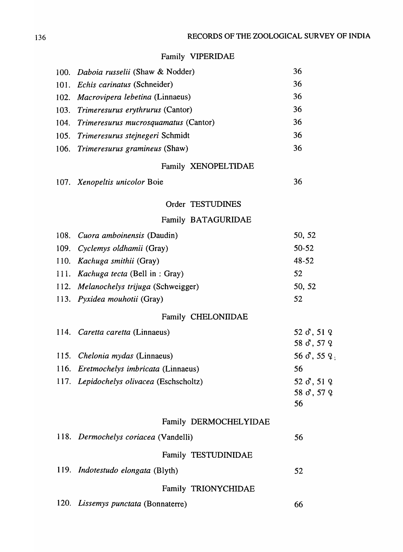# Family VIPERIDAE

|      | 100. Daboia russelii (Shaw & Nodder)      | 36                                       |
|------|-------------------------------------------|------------------------------------------|
|      | 101. Echis carinatus (Schneider)          | 36                                       |
|      | 102. Macrovipera lebetina (Linnaeus)      | 36                                       |
|      | 103. Trimeresurus erythrurus (Cantor)     | 36                                       |
|      | 104. Trimeresurus mucrosquamatus (Cantor) | 36                                       |
|      | 105. Trimeresurus stejnegeri Schmidt      | 36                                       |
|      | 106. Trimeresurus gramineus (Shaw)        | 36                                       |
|      | Family XENOPELTIDAE                       |                                          |
|      | 107. Xenopeltis unicolor Boie             | 36                                       |
|      | Order TESTUDINES                          |                                          |
|      | Family BATAGURIDAE                        |                                          |
|      | 108. Cuora amboinensis (Daudin)           | 50, 52                                   |
|      | 109. Cyclemys oldhamii (Gray)             | $50 - 52$                                |
|      | 110. Kachuga smithii (Gray)               | 48-52                                    |
|      | 111. Kachuga tecta (Bell in : Gray)       | 52                                       |
|      | 112. Melanochelys trijuga (Schweigger)    | 50, 52                                   |
|      | 113. Pyxidea mouhotii (Gray)              | 52                                       |
|      | Family CHELONIIDAE                        |                                          |
|      | 114. Caretta caretta (Linnaeus)           | 52 $\sigma$ , 51 $\varphi$<br>58 8, 57 9 |
|      | 115. Chelonia mydas (Linnaeus)            | 56 $\sigma$ , 55 $9$ ;                   |
|      | 116. Eretmochelys imbricata (Linnaeus)    | 56                                       |
|      | 117. Lepidochelys olivacea (Eschscholtz)  | 52 $\sigma$ , 51 $\sigma$                |
|      |                                           | 58 $\sigma$ , 57 $\varphi$<br>56         |
|      | Family DERMOCHELYIDAE                     |                                          |
|      | 118. Dermochelys coriacea (Vandelli)      | 56                                       |
|      | Family TESTUDINIDAE                       |                                          |
|      | 119. Indotestudo elongata (Blyth)         | 52                                       |
|      | Family TRIONYCHIDAE                       |                                          |
| 120. | Lissemys punctata (Bonnaterre)            | 66                                       |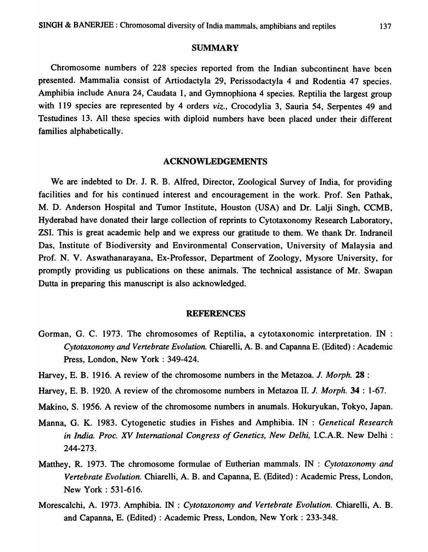### SUMMARY

Chromosome numbers of 228 species reported from the Indian subcontinent have been presented. Mammalia consist of Artiodactyla 29, Perissodactyla 4 and Rodentia 47 species. Amphibia include Anura 24, Caudata 1, and Gymnophiona 4 species. Reptilia the largest group with 119 species are represented by 4 orders *viz.,* Crocodylia 3, Sauria 54, Serpentes 49 and Testudines 13. All these species with diploid numbers have been placed under their different families alphabetically.

#### ACKNOWLEDGEMENTS

We are indebted to Dr. J. R. B. Alfred, Director, Zoological Survey of India, for providing facilities and for his continued interest and encouragement in the work. Prof. Sen Pathak, M. D. Anderson Hospital and Tumor Institute, Houston (USA) and Dr. Lalji Singh, CCMB, Hyderabad have donated their large collection of reprints to Cytotaxonomy Research Laboratory, ZSI. This is great academic help and we express our gratitude to them. We thank Dr. Indraneil Das, Institute of Biodiversity and Environmental Conservation, University of Malaysia and Prof. N. V. Aswathanarayana, Ex-Professor, Department of Zoology, Mysore University, for promptly providing us publications on these animals. The technical assistance of Mr. Swapan Dutta in preparing this manuscript is also acknowledged.

#### REFERENCES

- Gorman, G. C. 1973. The chromosomes of Reptilia, a cytotaxonomic interpretation. IN : *Cytotaxonomy and Vertebrate Evolution.* Chiarelli, A. B. and Capanna E. (Edited): Academic Press, London, New York : 349-424.
- Harvey, E. B. 1916. A review of the chromosome numbers in the Metazoa. J. *Morph.* 28 :
- Harvey, E. B. 1920. A review of the chromosome numbers in Metazoa II. J. *Morph.* 34 : 1-67.
- Makino, S. 1956. A review of the chromosome numbers in anumals. Hokuryukan, Tokyo, Japan.
- Manna, G. K. 1983. Cytogenetic studies in Fishes and Amphibia. IN : *Genetical Research in India. Proc. XV International Congress of Genetics, New Delhi,* I.C.A.R. New Delhi : 244-273.
- Matthey, R. 1973. The chromosome formulae of Eutherian mammals. IN : *Cytotaxonomy and Vertebrate Evolution.* Chiarelli, A. B. and Capanna, E. (Edited) : Academic Press, London, New York: 531-616.
- Morescalchi, A. 1973. Amphibia. IN : *Cytotaxonomy and Vertebrate Evolution.* Chiarelli, A. B. and Capanna, E. (Edited) : Academic Press, London, New York: 233-348.